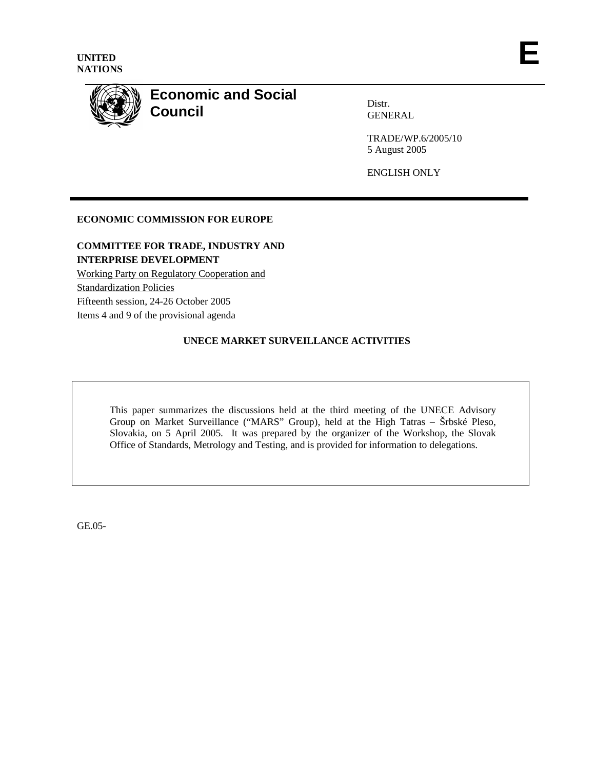

# **Economic and Social Council**

Distr. GENERAL

TRADE/WP.6/2005/10 5 August 2005

ENGLISH ONLY

# **ECONOMIC COMMISSION FOR EUROPE**

# **COMMITTEE FOR TRADE, INDUSTRY AND INTERPRISE DEVELOPMENT**

Working Party on Regulatory Cooperation and Standardization Policies Fifteenth session, 24-26 October 2005 Items 4 and 9 of the provisional agenda

# **UNECE MARKET SURVEILLANCE ACTIVITIES**

This paper summarizes the discussions held at the third meeting of the UNECE Advisory Group on Market Surveillance ("MARS" Group), held at the High Tatras – Šrbské Pleso, Slovakia, on 5 April 2005. It was prepared by the organizer of the Workshop, the Slovak Office of Standards, Metrology and Testing, and is provided for information to delegations.

GE.05-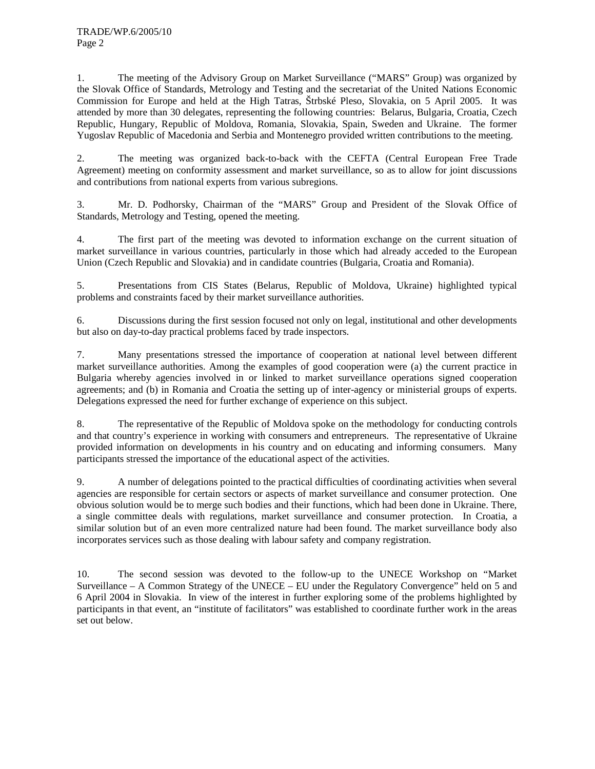1. The meeting of the Advisory Group on Market Surveillance ("MARS" Group) was organized by the Slovak Office of Standards, Metrology and Testing and the secretariat of the United Nations Economic Commission for Europe and held at the High Tatras, Štrbské Pleso, Slovakia, on 5 April 2005. It was attended by more than 30 delegates, representing the following countries: Belarus, Bulgaria, Croatia, Czech Republic, Hungary, Republic of Moldova, Romania, Slovakia, Spain, Sweden and Ukraine. The former Yugoslav Republic of Macedonia and Serbia and Montenegro provided written contributions to the meeting.

2. The meeting was organized back-to-back with the CEFTA (Central European Free Trade Agreement) meeting on conformity assessment and market surveillance, so as to allow for joint discussions and contributions from national experts from various subregions.

3. Mr. D. Podhorsky, Chairman of the "MARS" Group and President of the Slovak Office of Standards, Metrology and Testing, opened the meeting.

4. The first part of the meeting was devoted to information exchange on the current situation of market surveillance in various countries, particularly in those which had already acceded to the European Union (Czech Republic and Slovakia) and in candidate countries (Bulgaria, Croatia and Romania).

5. Presentations from CIS States (Belarus, Republic of Moldova, Ukraine) highlighted typical problems and constraints faced by their market surveillance authorities.

6. Discussions during the first session focused not only on legal, institutional and other developments but also on day-to-day practical problems faced by trade inspectors.

7. Many presentations stressed the importance of cooperation at national level between different market surveillance authorities. Among the examples of good cooperation were (a) the current practice in Bulgaria whereby agencies involved in or linked to market surveillance operations signed cooperation agreements; and (b) in Romania and Croatia the setting up of inter-agency or ministerial groups of experts. Delegations expressed the need for further exchange of experience on this subject.

8. The representative of the Republic of Moldova spoke on the methodology for conducting controls and that country's experience in working with consumers and entrepreneurs. The representative of Ukraine provided information on developments in his country and on educating and informing consumers. Many participants stressed the importance of the educational aspect of the activities.

9. A number of delegations pointed to the practical difficulties of coordinating activities when several agencies are responsible for certain sectors or aspects of market surveillance and consumer protection. One obvious solution would be to merge such bodies and their functions, which had been done in Ukraine. There, a single committee deals with regulations, market surveillance and consumer protection. In Croatia, a similar solution but of an even more centralized nature had been found. The market surveillance body also incorporates services such as those dealing with labour safety and company registration.

10. The second session was devoted to the follow-up to the UNECE Workshop on "Market Surveillance – A Common Strategy of the UNECE – EU under the Regulatory Convergence" held on 5 and 6 April 2004 in Slovakia. In view of the interest in further exploring some of the problems highlighted by participants in that event, an "institute of facilitators" was established to coordinate further work in the areas set out below.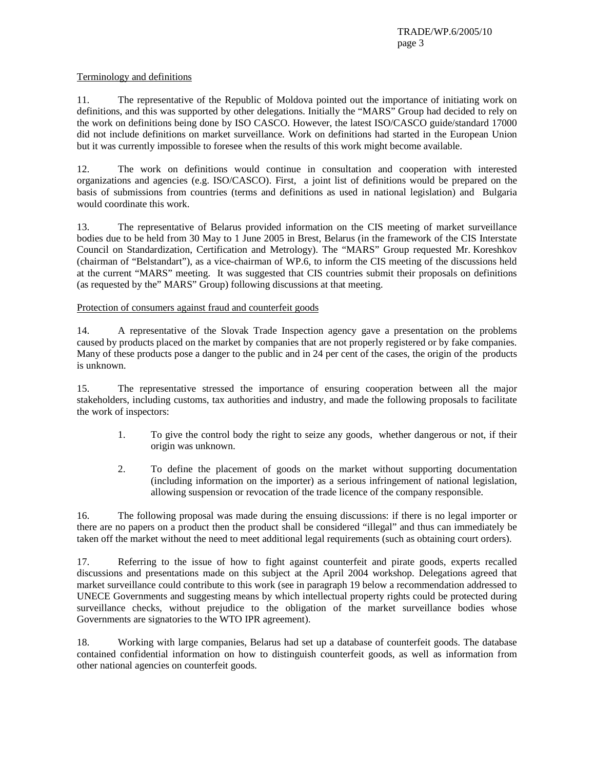TRADE/WP.6/2005/10 page 3

#### Terminology and definitions

11. The representative of the Republic of Moldova pointed out the importance of initiating work on definitions, and this was supported by other delegations. Initially the "MARS" Group had decided to rely on the work on definitions being done by ISO CASCO. However, the latest ISO/CASCO guide/standard 17000 did not include definitions on market surveillance. Work on definitions had started in the European Union but it was currently impossible to foresee when the results of this work might become available.

12. The work on definitions would continue in consultation and cooperation with interested organizations and agencies (e.g. ISO/CASCO). First, a joint list of definitions would be prepared on the basis of submissions from countries (terms and definitions as used in national legislation) and Bulgaria would coordinate this work.

13. The representative of Belarus provided information on the CIS meeting of market surveillance bodies due to be held from 30 May to 1 June 2005 in Brest, Belarus (in the framework of the CIS Interstate Council on Standardization, Certification and Metrology). The "MARS" Group requested Mr. Koreshkov (chairman of "Belstandart"), as a vice-chairman of WP.6, to inform the CIS meeting of the discussions held at the current "MARS" meeting. It was suggested that CIS countries submit their proposals on definitions (as requested by the" MARS" Group) following discussions at that meeting.

Protection of consumers against fraud and counterfeit goods

14. A representative of the Slovak Trade Inspection agency gave a presentation on the problems caused by products placed on the market by companies that are not properly registered or by fake companies. Many of these products pose a danger to the public and in 24 per cent of the cases, the origin of the products is unknown.

15. The representative stressed the importance of ensuring cooperation between all the major stakeholders, including customs, tax authorities and industry, and made the following proposals to facilitate the work of inspectors:

- 1. To give the control body the right to seize any goods, whether dangerous or not, if their origin was unknown.
- 2. To define the placement of goods on the market without supporting documentation (including information on the importer) as a serious infringement of national legislation, allowing suspension or revocation of the trade licence of the company responsible.

16. The following proposal was made during the ensuing discussions: if there is no legal importer or there are no papers on a product then the product shall be considered "illegal" and thus can immediately be taken off the market without the need to meet additional legal requirements (such as obtaining court orders).

17. Referring to the issue of how to fight against counterfeit and pirate goods, experts recalled discussions and presentations made on this subject at the April 2004 workshop. Delegations agreed that market surveillance could contribute to this work (see in paragraph 19 below a recommendation addressed to UNECE Governments and suggesting means by which intellectual property rights could be protected during surveillance checks, without prejudice to the obligation of the market surveillance bodies whose Governments are signatories to the WTO IPR agreement).

18. Working with large companies, Belarus had set up a database of counterfeit goods. The database contained confidential information on how to distinguish counterfeit goods, as well as information from other national agencies on counterfeit goods.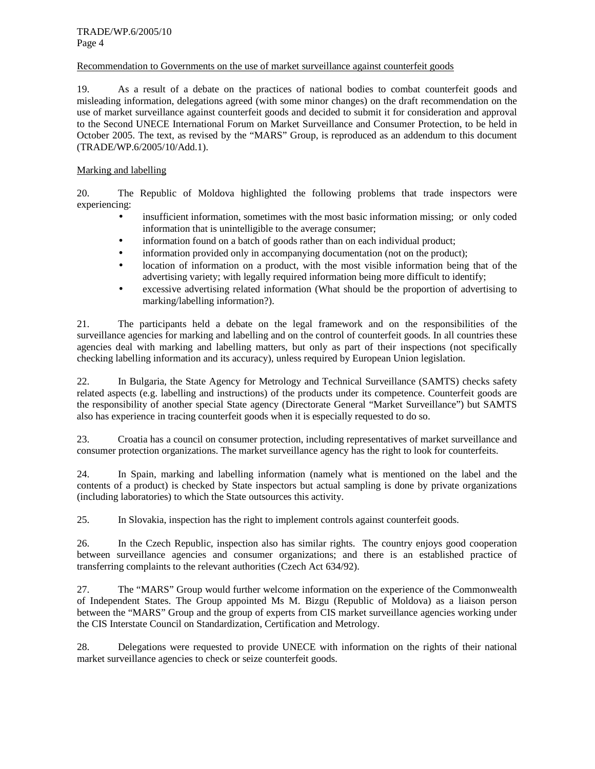#### Recommendation to Governments on the use of market surveillance against counterfeit goods

19. As a result of a debate on the practices of national bodies to combat counterfeit goods and misleading information, delegations agreed (with some minor changes) on the draft recommendation on the use of market surveillance against counterfeit goods and decided to submit it for consideration and approval to the Second UNECE International Forum on Market Surveillance and Consumer Protection, to be held in October 2005. The text, as revised by the "MARS" Group, is reproduced as an addendum to this document (TRADE/WP.6/2005/10/Add.1).

#### Marking and labelling

20. The Republic of Moldova highlighted the following problems that trade inspectors were experiencing:

- insufficient information, sometimes with the most basic information missing; or only coded information that is unintelligible to the average consumer;
- information found on a batch of goods rather than on each individual product;
- information provided only in accompanying documentation (not on the product);
- location of information on a product, with the most visible information being that of the advertising variety; with legally required information being more difficult to identify;
- excessive advertising related information (What should be the proportion of advertising to marking/labelling information?).

21. The participants held a debate on the legal framework and on the responsibilities of the surveillance agencies for marking and labelling and on the control of counterfeit goods. In all countries these agencies deal with marking and labelling matters, but only as part of their inspections (not specifically checking labelling information and its accuracy), unless required by European Union legislation.

22. In Bulgaria, the State Agency for Metrology and Technical Surveillance (SAMTS) checks safety related aspects (e.g. labelling and instructions) of the products under its competence. Counterfeit goods are the responsibility of another special State agency (Directorate General "Market Surveillance") but SAMTS also has experience in tracing counterfeit goods when it is especially requested to do so.

23. Croatia has a council on consumer protection, including representatives of market surveillance and consumer protection organizations. The market surveillance agency has the right to look for counterfeits.

24. In Spain, marking and labelling information (namely what is mentioned on the label and the contents of a product) is checked by State inspectors but actual sampling is done by private organizations (including laboratories) to which the State outsources this activity.

25. In Slovakia, inspection has the right to implement controls against counterfeit goods.

26. In the Czech Republic, inspection also has similar rights. The country enjoys good cooperation between surveillance agencies and consumer organizations; and there is an established practice of transferring complaints to the relevant authorities (Czech Act 634/92).

27. The "MARS" Group would further welcome information on the experience of the Commonwealth of Independent States. The Group appointed Ms M. Bizgu (Republic of Moldova) as a liaison person between the "MARS" Group and the group of experts from CIS market surveillance agencies working under the CIS Interstate Council on Standardization, Certification and Metrology.

28. Delegations were requested to provide UNECE with information on the rights of their national market surveillance agencies to check or seize counterfeit goods.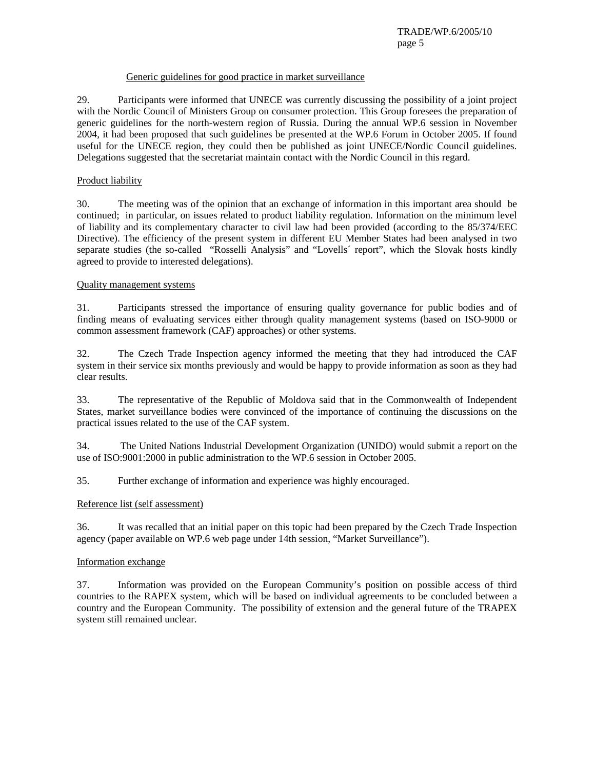#### Generic guidelines for good practice in market surveillance

29. Participants were informed that UNECE was currently discussing the possibility of a joint project with the Nordic Council of Ministers Group on consumer protection. This Group foresees the preparation of generic guidelines for the north-western region of Russia. During the annual WP.6 session in November 2004, it had been proposed that such guidelines be presented at the WP.6 Forum in October 2005. If found useful for the UNECE region, they could then be published as joint UNECE/Nordic Council guidelines. Delegations suggested that the secretariat maintain contact with the Nordic Council in this regard.

## Product liability

30. The meeting was of the opinion that an exchange of information in this important area should be continued; in particular, on issues related to product liability regulation. Information on the minimum level of liability and its complementary character to civil law had been provided (according to the 85/374/EEC Directive). The efficiency of the present system in different EU Member States had been analysed in two separate studies (the so-called "Rosselli Analysis" and "Lovells´ report", which the Slovak hosts kindly agreed to provide to interested delegations).

## Quality management systems

31. Participants stressed the importance of ensuring quality governance for public bodies and of finding means of evaluating services either through quality management systems (based on ISO-9000 or common assessment framework (CAF) approaches) or other systems.

32. The Czech Trade Inspection agency informed the meeting that they had introduced the CAF system in their service six months previously and would be happy to provide information as soon as they had clear results.

33. The representative of the Republic of Moldova said that in the Commonwealth of Independent States, market surveillance bodies were convinced of the importance of continuing the discussions on the practical issues related to the use of the CAF system.

34. The United Nations Industrial Development Organization (UNIDO) would submit a report on the use of ISO:9001:2000 in public administration to the WP.6 session in October 2005.

35. Further exchange of information and experience was highly encouraged.

# Reference list (self assessment)

36. It was recalled that an initial paper on this topic had been prepared by the Czech Trade Inspection agency (paper available on WP.6 web page under 14th session, "Market Surveillance").

#### Information exchange

37. Information was provided on the European Community's position on possible access of third countries to the RAPEX system, which will be based on individual agreements to be concluded between a country and the European Community. The possibility of extension and the general future of the TRAPEX system still remained unclear.